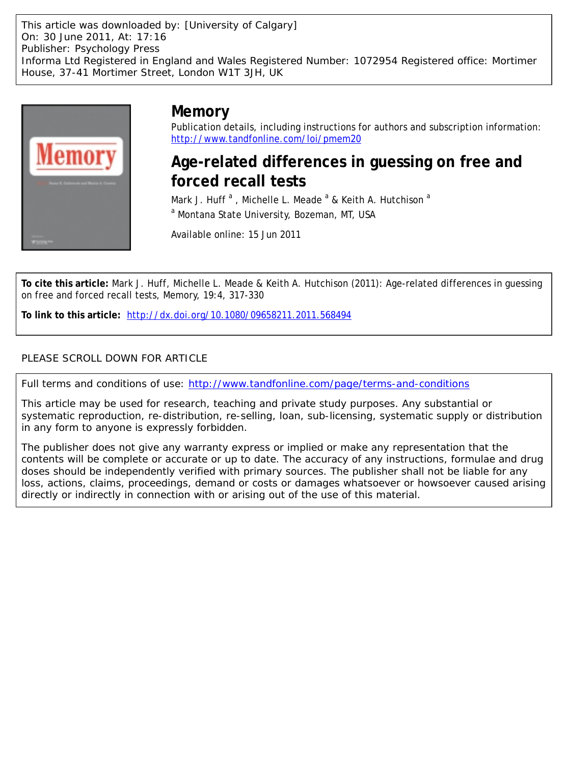This article was downloaded by: [University of Calgary] On: 30 June 2011, At: 17:16 Publisher: Psychology Press Informa Ltd Registered in England and Wales Registered Number: 1072954 Registered office: Mortimer House, 37-41 Mortimer Street, London W1T 3JH, UK



# **Memory**

Publication details, including instructions for authors and subscription information: <http://www.tandfonline.com/loi/pmem20>

# **Age-related differences in guessing on free and forced recall tests**

Mark J. Huff <sup>a</sup>, Michelle L. Meade <sup>a</sup> & Keith A. Hutchison <sup>a</sup> <sup>a</sup> Montana State University, Bozeman, MT, USA

Available online: 15 Jun 2011

**To cite this article:** Mark J. Huff, Michelle L. Meade & Keith A. Hutchison (2011): Age-related differences in guessing on free and forced recall tests, Memory, 19:4, 317-330

**To link to this article:** <http://dx.doi.org/10.1080/09658211.2011.568494>

# PLEASE SCROLL DOWN FOR ARTICLE

Full terms and conditions of use:<http://www.tandfonline.com/page/terms-and-conditions>

This article may be used for research, teaching and private study purposes. Any substantial or systematic reproduction, re-distribution, re-selling, loan, sub-licensing, systematic supply or distribution in any form to anyone is expressly forbidden.

The publisher does not give any warranty express or implied or make any representation that the contents will be complete or accurate or up to date. The accuracy of any instructions, formulae and drug doses should be independently verified with primary sources. The publisher shall not be liable for any loss, actions, claims, proceedings, demand or costs or damages whatsoever or howsoever caused arising directly or indirectly in connection with or arising out of the use of this material.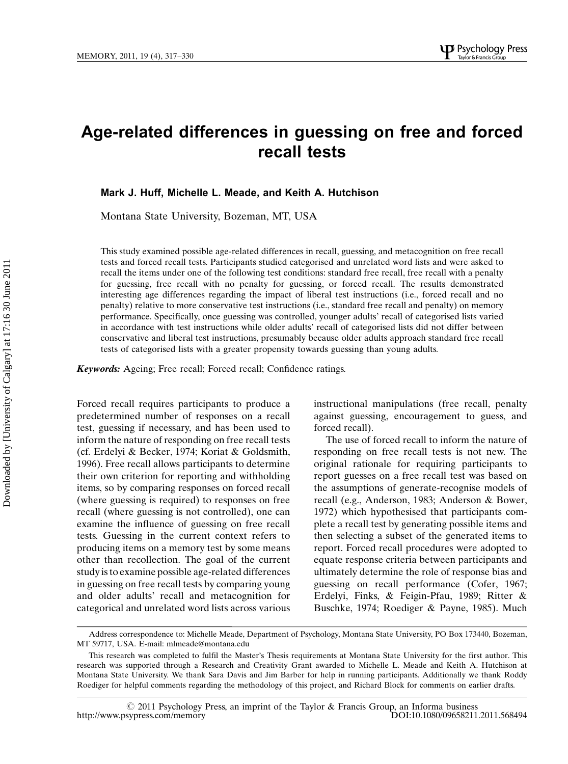# Age-related differences in guessing on free and forced recall tests

Mark J. Huff, Michelle L. Meade, and Keith A. Hutchison

Montana State University, Bozeman, MT, USA

This study examined possible age-related differences in recall, guessing, and metacognition on free recall tests and forced recall tests. Participants studied categorised and unrelated word lists and were asked to recall the items under one of the following test conditions: standard free recall, free recall with a penalty for guessing, free recall with no penalty for guessing, or forced recall. The results demonstrated interesting age differences regarding the impact of liberal test instructions (i.e., forced recall and no penalty) relative to more conservative test instructions (i.e., standard free recall and penalty) on memory performance. Specifically, once guessing was controlled, younger adults' recall of categorised lists varied in accordance with test instructions while older adults' recall of categorised lists did not differ between conservative and liberal test instructions, presumably because older adults approach standard free recall tests of categorised lists with a greater propensity towards guessing than young adults.

Keywords: Ageing; Free recall; Forced recall; Confidence ratings.

Forced recall requires participants to produce a predetermined number of responses on a recall test, guessing if necessary, and has been used to inform the nature of responding on free recall tests (cf. Erdelyi & Becker, 1974; Koriat & Goldsmith, 1996). Free recall allows participants to determine their own criterion for reporting and withholding items, so by comparing responses on forced recall (where guessing is required) to responses on free recall (where guessing is not controlled), one can examine the influence of guessing on free recall tests. Guessing in the current context refers to producing items on a memory test by some means other than recollection. The goal of the current study is to examine possible age-related differences in guessing on free recall tests by comparing young and older adults' recall and metacognition for categorical and unrelated word lists across various

instructional manipulations (free recall, penalty against guessing, encouragement to guess, and forced recall).

The use of forced recall to inform the nature of responding on free recall tests is not new. The original rationale for requiring participants to report guesses on a free recall test was based on the assumptions of generate-recognise models of recall (e.g., Anderson, 1983; Anderson & Bower, 1972) which hypothesised that participants complete a recall test by generating possible items and then selecting a subset of the generated items to report. Forced recall procedures were adopted to equate response criteria between participants and ultimately determine the role of response bias and guessing on recall performance (Cofer, 1967; Erdelyi, Finks, & Feigin-Pfau, 1989; Ritter & Buschke, 1974; Roediger & Payne, 1985). Much

Address correspondence to: Michelle Meade, Department of Psychology, Montana State University, PO Box 173440, Bozeman, MT 59717, USA. E-mail: mlmeade@montana.edu

This research was completed to fulfil the Master's Thesis requirements at Montana State University for the first author. This research was supported through a Research and Creativity Grant awarded to Michelle L. Meade and Keith A. Hutchison at Montana State University. We thank Sara Davis and Jim Barber for help in running participants. Additionally we thank Roddy Roediger for helpful comments regarding the methodology of this project, and Richard Block for comments on earlier drafts.

<sup>© 2011</sup> Psychology Press, an imprint of the Taylor & Francis Group, an Informa business<br>sypress.com/memory DOI:10.1080/09658211.2011.568494 [http://www.psypress.com/memory](http://www.psypress.com/cogemotion)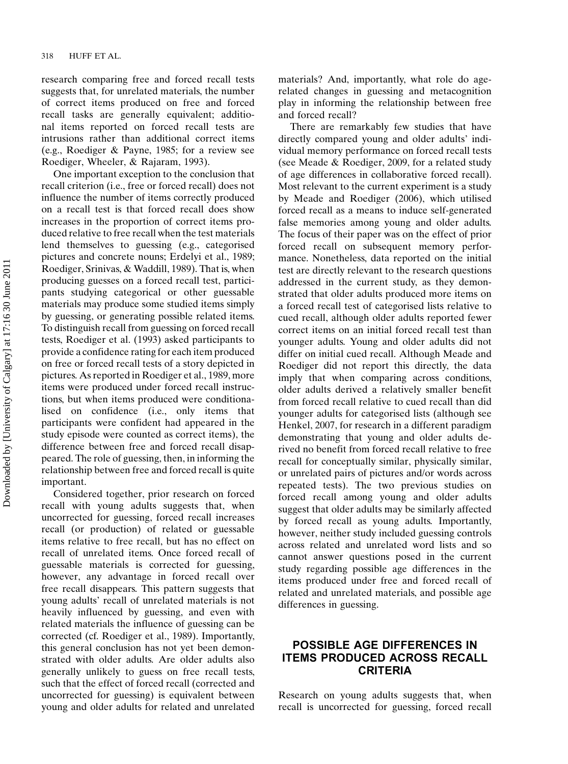research comparing free and forced recall tests suggests that, for unrelated materials, the number of correct items produced on free and forced recall tasks are generally equivalent; additional items reported on forced recall tests are intrusions rather than additional correct items (e.g., Roediger & Payne, 1985; for a review see Roediger, Wheeler, & Rajaram, 1993).

One important exception to the conclusion that recall criterion (i.e., free or forced recall) does not influence the number of items correctly produced on a recall test is that forced recall does show increases in the proportion of correct items produced relative to free recall when the test materials lend themselves to guessing (e.g., categorised pictures and concrete nouns; Erdelyi et al., 1989; Roediger, Srinivas, & Waddill, 1989). That is, when producing guesses on a forced recall test, participants studying categorical or other guessable materials may produce some studied items simply by guessing, or generating possible related items. To distinguish recall from guessing on forced recall tests, Roediger et al. (1993) asked participants to provide a confidence rating for each item produced on free or forced recall tests of a story depicted in pictures. As reported in Roediger et al., 1989, more items were produced under forced recall instructions, but when items produced were conditionalised on confidence (i.e., only items that participants were confident had appeared in the study episode were counted as correct items), the difference between free and forced recall disappeared. The role of guessing, then, in informing the relationship between free and forced recall is quite important.

Considered together, prior research on forced recall with young adults suggests that, when uncorrected for guessing, forced recall increases recall (or production) of related or guessable items relative to free recall, but has no effect on recall of unrelated items. Once forced recall of guessable materials is corrected for guessing, however, any advantage in forced recall over free recall disappears. This pattern suggests that young adults' recall of unrelated materials is not heavily influenced by guessing, and even with related materials the influence of guessing can be corrected (cf. Roediger et al., 1989). Importantly, this general conclusion has not yet been demonstrated with older adults. Are older adults also generally unlikely to guess on free recall tests, such that the effect of forced recall (corrected and uncorrected for guessing) is equivalent between young and older adults for related and unrelated materials? And, importantly, what role do agerelated changes in guessing and metacognition play in informing the relationship between free and forced recall?

There are remarkably few studies that have directly compared young and older adults' individual memory performance on forced recall tests (see Meade & Roediger, 2009, for a related study of age differences in collaborative forced recall). Most relevant to the current experiment is a study by Meade and Roediger (2006), which utilised forced recall as a means to induce self-generated false memories among young and older adults. The focus of their paper was on the effect of prior forced recall on subsequent memory performance. Nonetheless, data reported on the initial test are directly relevant to the research questions addressed in the current study, as they demonstrated that older adults produced more items on a forced recall test of categorised lists relative to cued recall, although older adults reported fewer correct items on an initial forced recall test than younger adults. Young and older adults did not differ on initial cued recall. Although Meade and Roediger did not report this directly, the data imply that when comparing across conditions, older adults derived a relatively smaller benefit from forced recall relative to cued recall than did younger adults for categorised lists (although see Henkel, 2007, for research in a different paradigm demonstrating that young and older adults derived no benefit from forced recall relative to free recall for conceptually similar, physically similar, or unrelated pairs of pictures and/or words across repeated tests). The two previous studies on forced recall among young and older adults suggest that older adults may be similarly affected by forced recall as young adults. Importantly, however, neither study included guessing controls across related and unrelated word lists and so cannot answer questions posed in the current study regarding possible age differences in the items produced under free and forced recall of related and unrelated materials, and possible age differences in guessing.

# POSSIBLE AGE DIFFERENCES IN ITEMS PRODUCED ACROSS RECALL CRITERIA

Research on young adults suggests that, when recall is uncorrected for guessing, forced recall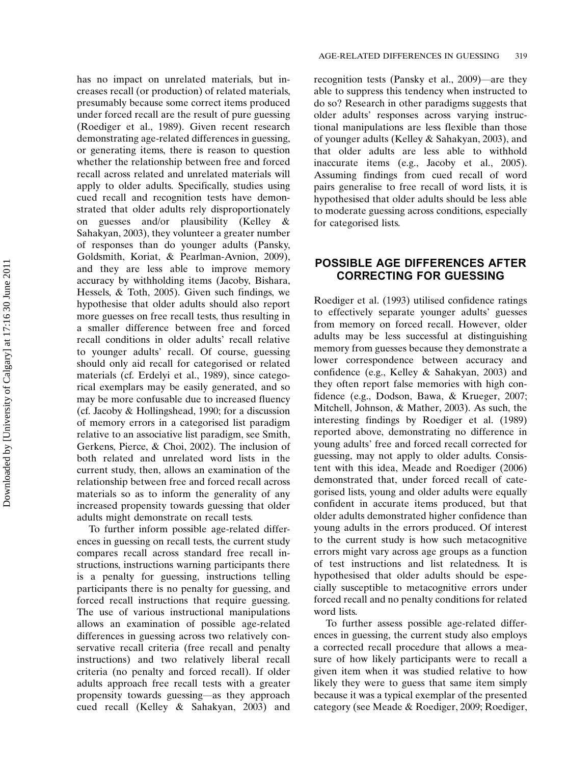has no impact on unrelated materials, but increases recall (or production) of related materials, presumably because some correct items produced under forced recall are the result of pure guessing (Roediger et al., 1989). Given recent research demonstrating age-related differences in guessing, or generating items, there is reason to question whether the relationship between free and forced recall across related and unrelated materials will apply to older adults. Specifically, studies using cued recall and recognition tests have demonstrated that older adults rely disproportionately on guesses and/or plausibility (Kelley & Sahakyan, 2003), they volunteer a greater number of responses than do younger adults (Pansky, Goldsmith, Koriat, & Pearlman-Avnion, 2009), and they are less able to improve memory accuracy by withholding items (Jacoby, Bishara, Hessels, & Toth, 2005). Given such findings, we hypothesise that older adults should also report more guesses on free recall tests, thus resulting in a smaller difference between free and forced recall conditions in older adults' recall relative to younger adults' recall. Of course, guessing should only aid recall for categorised or related materials (cf. Erdelyi et al., 1989), since categorical exemplars may be easily generated, and so may be more confusable due to increased fluency (cf. Jacoby & Hollingshead, 1990; for a discussion of memory errors in a categorised list paradigm relative to an associative list paradigm, see Smith, Gerkens, Pierce, & Choi, 2002). The inclusion of both related and unrelated word lists in the current study, then, allows an examination of the relationship between free and forced recall across materials so as to inform the generality of any increased propensity towards guessing that older adults might demonstrate on recall tests.

To further inform possible age-related differences in guessing on recall tests, the current study compares recall across standard free recall instructions, instructions warning participants there a penalty for guessing, instructions telling participants there is no penalty for guessing, and forced recall instructions that require guessing. The use of various instructional manipulations allows an examination of possible age-related differences in guessing across two relatively conservative recall criteria (free recall and penalty instructions) and two relatively liberal recall criteria (no penalty and forced recall). If older adults approach free recall tests with a greater propensity towards guessing—as they approach cued recall (Kelley & Sahakyan, 2003) and recognition tests (Pansky et al., 2009)—are they able to suppress this tendency when instructed to do so? Research in other paradigms suggests that older adults' responses across varying instructional manipulations are less flexible than those of younger adults (Kelley & Sahakyan, 2003), and that older adults are less able to withhold inaccurate items (e.g., Jacoby et al., 2005). Assuming findings from cued recall of word pairs generalise to free recall of word lists, it is hypothesised that older adults should be less able to moderate guessing across conditions, especially for categorised lists.

# POSSIBLE AGE DIFFERENCES AFTER **CORRECTING FOR GUESSING**

Roediger et al. (1993) utilised confidence ratings to effectively separate younger adults' guesses from memory on forced recall. However, older adults may be less successful at distinguishing memory from guesses because they demonstrate a lower correspondence between accuracy and confidence (e.g., Kelley & Sahakyan, 2003) and they often report false memories with high confidence (e.g., Dodson, Bawa, & Krueger, 2007; Mitchell, Johnson, & Mather, 2003). As such, the interesting findings by Roediger et al. (1989) reported above, demonstrating no difference in young adults' free and forced recall corrected for guessing, may not apply to older adults. Consistent with this idea, Meade and Roediger (2006) demonstrated that, under forced recall of categorised lists, young and older adults were equally confident in accurate items produced, but that older adults demonstrated higher confidence than young adults in the errors produced. Of interest to the current study is how such metacognitive errors might vary across age groups as a function of test instructions and list relatedness. It is hypothesised that older adults should be especially susceptible to metacognitive errors under forced recall and no penalty conditions for related word lists.

To further assess possible age-related differences in guessing, the current study also employs a corrected recall procedure that allows a measure of how likely participants were to recall a given item when it was studied relative to how likely they were to guess that same item simply because it was a typical exemplar of the presented category (see Meade & Roediger, 2009; Roediger,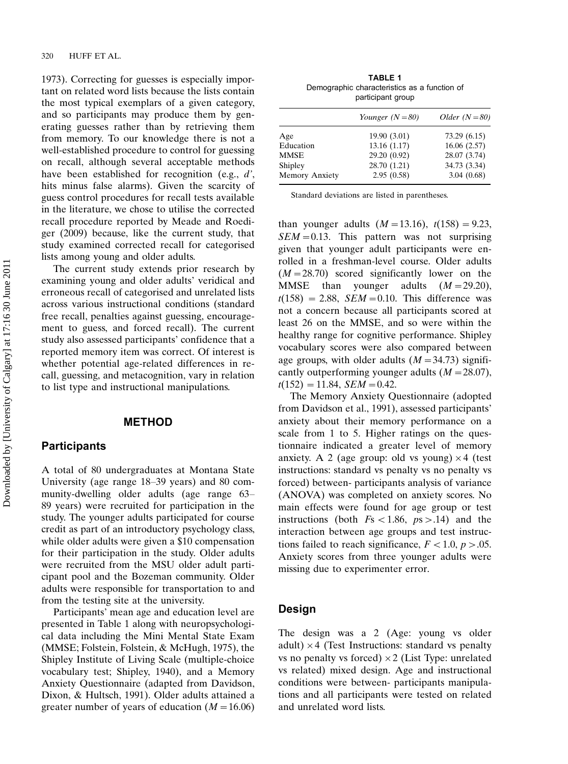1973). Correcting for guesses is especially important on related word lists because the lists contain the most typical exemplars of a given category, and so participants may produce them by generating guesses rather than by retrieving them from memory. To our knowledge there is not a well-established procedure to control for guessing on recall, although several acceptable methods have been established for recognition (e.g., d', hits minus false alarms). Given the scarcity of guess control procedures for recall tests available in the literature, we chose to utilise the corrected recall procedure reported by Meade and Roediger (2009) because, like the current study, that study examined corrected recall for categorised lists among young and older adults.

The current study extends prior research by examining young and older adults' veridical and erroneous recall of categorised and unrelated lists across various instructional conditions (standard free recall, penalties against guessing, encouragement to guess, and forced recall). The current study also assessed participants' confidence that a reported memory item was correct. Of interest is whether potential age-related differences in recall, guessing, and metacognition, vary in relation to list type and instructional manipulations.

## METHOD

#### **Participants**

A total of 80 undergraduates at Montana State University (age range  $18-39$  years) and 80 community-dwelling older adults (age range 63 89 years) were recruited for participation in the study. The younger adults participated for course credit as part of an introductory psychology class, while older adults were given a \$10 compensation for their participation in the study. Older adults were recruited from the MSU older adult participant pool and the Bozeman community. Older adults were responsible for transportation to and from the testing site at the university.

Participants' mean age and education level are presented in Table 1 along with neuropsychological data including the Mini Mental State Exam (MMSE; Folstein, Folstein, & McHugh, 1975), the Shipley Institute of Living Scale (multiple-choice vocabulary test; Shipley, 1940), and a Memory Anxiety Questionnaire (adapted from Davidson, Dixon, & Hultsch, 1991). Older adults attained a greater number of years of education  $(M=16.06)$ 

|                   | <b>TABLE 1</b>                               |  |  |  |  |
|-------------------|----------------------------------------------|--|--|--|--|
|                   | Demographic characteristics as a function of |  |  |  |  |
| participant group |                                              |  |  |  |  |

|                | Younger $(N = 80)$ | Older $(N=80)$ |
|----------------|--------------------|----------------|
| Age            | 19.90 (3.01)       | 73.29 (6.15)   |
| Education      | 13.16(1.17)        | 16.06(2.57)    |
| <b>MMSE</b>    | 29.20 (0.92)       | 28.07 (3.74)   |
| Shipley        | 28.70 (1.21)       | 34.73 (3.34)   |
| Memory Anxiety | 2.95(0.58)         | 3.04(0.68)     |

Standard deviations are listed in parentheses.

than younger adults  $(M=13.16)$ ,  $t(158) = 9.23$ ,  $SEM = 0.13$ . This pattern was not surprising given that younger adult participants were enrolled in a freshman-level course. Older adults  $(M=28.70)$  scored significantly lower on the MMSE than younger adults  $(M=29.20)$ ,  $t(158) = 2.88$ ,  $SEM = 0.10$ . This difference was not a concern because all participants scored at least 26 on the MMSE, and so were within the healthy range for cognitive performance. Shipley vocabulary scores were also compared between age groups, with older adults  $(M=34.73)$  significantly outperforming younger adults  $(M=28.07)$ ,  $t(152) = 11.84$ ,  $SEM = 0.42$ .

The Memory Anxiety Questionnaire (adopted from Davidson et al., 1991), assessed participants' anxiety about their memory performance on a scale from 1 to 5. Higher ratings on the questionnaire indicated a greater level of memory anxiety. A 2 (age group: old vs young)  $\times$  4 (test instructions: standard vs penalty vs no penalty vs forced) between- participants analysis of variance (ANOVA) was completed on anxiety scores. No main effects were found for age group or test instructions (both  $Fs < 1.86$ ,  $ps > .14$ ) and the interaction between age groups and test instructions failed to reach significance,  $F < 1.0$ ,  $p > .05$ . Anxiety scores from three younger adults were missing due to experimenter error.

#### Design

The design was a 2 (Age: young vs older adult) $\times$ 4 (Test Instructions: standard vs penalty vs no penalty vs forced)  $\times$  2 (List Type: unrelated vs related) mixed design. Age and instructional conditions were between- participants manipulations and all participants were tested on related and unrelated word lists.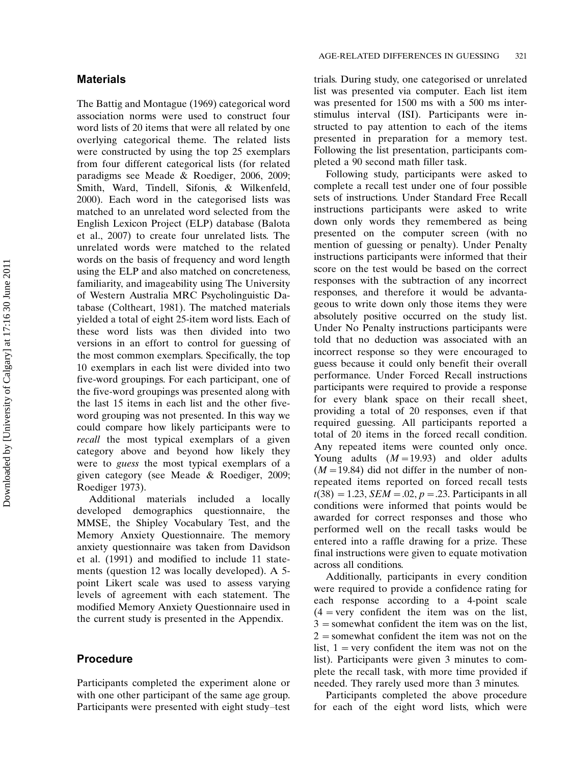The Battig and Montague (1969) categorical word association norms were used to construct four word lists of 20 items that were all related by one overlying categorical theme. The related lists were constructed by using the top 25 exemplars from four different categorical lists (for related paradigms see Meade & Roediger, 2006, 2009; Smith, Ward, Tindell, Sifonis, & Wilkenfeld, 2000). Each word in the categorised lists was matched to an unrelated word selected from the English Lexicon Project (ELP) database (Balota et al., 2007) to create four unrelated lists. The unrelated words were matched to the related words on the basis of frequency and word length using the ELP and also matched on concreteness, familiarity, and imageability using The University of Western Australia MRC Psycholinguistic Database (Coltheart, 1981). The matched materials yielded a total of eight 25-item word lists. Each of these word lists was then divided into two versions in an effort to control for guessing of the most common exemplars. Specifically, the top 10 exemplars in each list were divided into two five-word groupings. For each participant, one of the five-word groupings was presented along with the last 15 items in each list and the other fiveword grouping was not presented. In this way we could compare how likely participants were to recall the most typical exemplars of a given category above and beyond how likely they were to guess the most typical exemplars of a given category (see Meade & Roediger, 2009; Roediger 1973).

Additional materials included a locally developed demographics questionnaire, the MMSE, the Shipley Vocabulary Test, and the Memory Anxiety Questionnaire. The memory anxiety questionnaire was taken from Davidson et al. (1991) and modified to include 11 statements (question 12 was locally developed). A 5 point Likert scale was used to assess varying levels of agreement with each statement. The modified Memory Anxiety Questionnaire used in the current study is presented in the Appendix.

### Procedure

Participants completed the experiment alone or with one other participant of the same age group. Participants were presented with eight study-test

trials. During study, one categorised or unrelated list was presented via computer. Each list item was presented for 1500 ms with a 500 ms interstimulus interval (ISI). Participants were instructed to pay attention to each of the items presented in preparation for a memory test. Following the list presentation, participants completed a 90 second math filler task.

Following study, participants were asked to complete a recall test under one of four possible sets of instructions. Under Standard Free Recall instructions participants were asked to write down only words they remembered as being presented on the computer screen (with no mention of guessing or penalty). Under Penalty instructions participants were informed that their score on the test would be based on the correct responses with the subtraction of any incorrect responses, and therefore it would be advantageous to write down only those items they were absolutely positive occurred on the study list. Under No Penalty instructions participants were told that no deduction was associated with an incorrect response so they were encouraged to guess because it could only benefit their overall performance. Under Forced Recall instructions participants were required to provide a response for every blank space on their recall sheet, providing a total of 20 responses, even if that required guessing. All participants reported a total of 20 items in the forced recall condition. Any repeated items were counted only once. Young adults  $(M=19.93)$  and older adults  $(M=19.84)$  did not differ in the number of nonrepeated items reported on forced recall tests  $t(38) = 1.23, SEM = .02, p = .23. Participants in all$ conditions were informed that points would be awarded for correct responses and those who performed well on the recall tasks would be entered into a raffle drawing for a prize. These final instructions were given to equate motivation across all conditions.

Additionally, participants in every condition were required to provide a confidence rating for each response according to a 4-point scale  $(4 = \text{very confident the item was on the list},$  $3 =$ somewhat confident the item was on the list.  $2 =$ somewhat confident the item was not on the list,  $1 = \text{very confident}$  the item was not on the list). Participants were given 3 minutes to complete the recall task, with more time provided if needed. They rarely used more than 3 minutes.

Participants completed the above procedure for each of the eight word lists, which were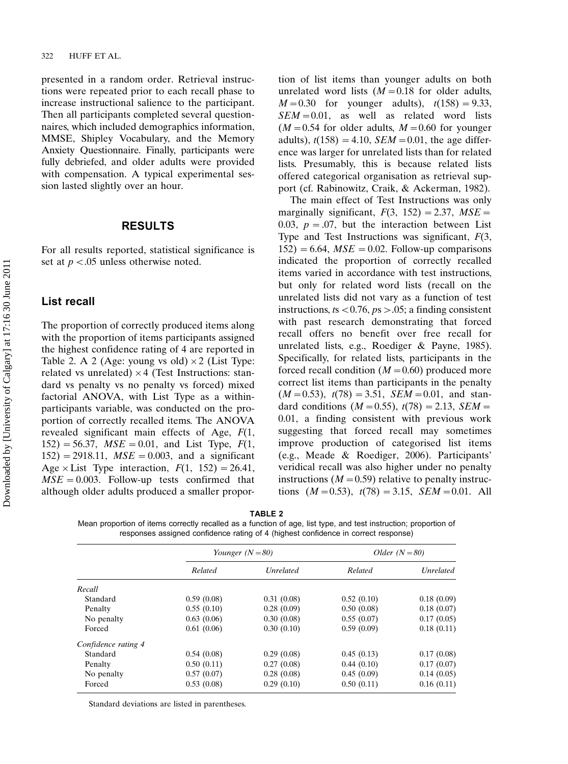presented in a random order. Retrieval instructions were repeated prior to each recall phase to increase instructional salience to the participant. Then all participants completed several questionnaires, which included demographics information, MMSE, Shipley Vocabulary, and the Memory Anxiety Questionnaire. Finally, participants were fully debriefed, and older adults were provided with compensation. A typical experimental session lasted slightly over an hour.

#### RESULTS

For all results reported, statistical significance is set at  $p < 0.05$  unless otherwise noted.

### List recall

The proportion of correctly produced items along with the proportion of items participants assigned the highest confidence rating of 4 are reported in Table 2. A 2 (Age: young vs old)  $\times$  2 (List Type: related vs unrelated)  $\times$  4 (Test Instructions: standard vs penalty vs no penalty vs forced) mixed factorial ANOVA, with List Type as a withinparticipants variable, was conducted on the proportion of correctly recalled items. The ANOVA revealed significant main effects of Age,  $F(1,$  $152$ ) = 56.37,  $MSE = 0.01$ , and List Type,  $F(1, 1)$  $152$ ) = 2918.11,  $MSE = 0.003$ , and a significant Age  $\times$  List Type interaction,  $F(1, 152) = 26.41$ ,  $MSE = 0.003$ . Follow-up tests confirmed that although older adults produced a smaller proportion of list items than younger adults on both unrelated word lists  $(M=0.18$  for older adults,  $M = 0.30$  for younger adults),  $t(158) = 9.33$ ,  $SEM = 0.01$ , as well as related word lists  $(M=0.54$  for older adults,  $M=0.60$  for younger adults),  $t(158) = 4.10$ ,  $SEM = 0.01$ , the age difference was larger for unrelated lists than for related lists. Presumably, this is because related lists offered categorical organisation as retrieval support (cf. Rabinowitz, Craik, & Ackerman, 1982).

The main effect of Test Instructions was only marginally significant,  $F(3, 152) = 2.37$ ,  $MSE =$ 0.03,  $p = 0.07$ , but the interaction between List Type and Test Instructions was significant,  $F(3, 1)$  $152$ ) = 6.64,  $MSE = 0.02$ . Follow-up comparisons indicated the proportion of correctly recalled items varied in accordance with test instructions, but only for related word lists (recall on the unrelated lists did not vary as a function of test instructions,  $ts < 0.76$ ,  $ps > 0.05$ ; a finding consistent with past research demonstrating that forced recall offers no benefit over free recall for unrelated lists, e.g., Roediger & Payne, 1985). Specifically, for related lists, participants in the forced recall condition  $(M=0.60)$  produced more correct list items than participants in the penalty  $(M=0.53)$ ,  $t(78) = 3.51$ ,  $SEM = 0.01$ , and standard conditions  $(M=0.55)$ ,  $t(78) = 2.13$ ,  $SEM =$ 0.01, a finding consistent with previous work suggesting that forced recall may sometimes improve production of categorised list items (e.g., Meade & Roediger, 2006). Participants' veridical recall was also higher under no penalty instructions ( $M=0.59$ ) relative to penalty instructions  $(M=0.53)$ ,  $t(78) = 3.15$ ,  $SEM = 0.01$ . All

TABLE 2

Younger  $(N=80)$  Older  $(N=80)$ Related Unrelated Related Unrelated Recall Standard 0.59 (0.08) 0.31 (0.08) 0.52 (0.10) 0.18 (0.09) Penalty 0.55 (0.10) 0.28 (0.09) 0.50 (0.08) 0.18 (0.07) No penalty  $0.63 \ (0.06)$   $0.30 \ (0.08)$   $0.55 \ (0.07)$   $0.17 \ (0.05)$ Forced 0.61 (0.06) 0.30 (0.10) 0.59 (0.09) 0.18 (0.11) Confidence rating 4 Standard 0.54 (0.08) 0.29 (0.08) 0.45 (0.13) 0.17 (0.08) Penalty 0.50 (0.11) 0.27 (0.08) 0.44 (0.10) 0.17 (0.07) No penalty  $0.57 \ (0.07)$   $0.28 \ (0.08)$   $0.45 \ (0.09)$   $0.14 \ (0.05)$ Forced  $0.53 \ (0.08)$   $0.29 \ (0.10)$   $0.50 \ (0.11)$   $0.16 \ (0.11)$ 

Mean proportion of items correctly recalled as a function of age, list type, and test instruction; proportion of responses assigned confidence rating of 4 (highest confidence in correct response)

Standard deviations are listed in parentheses.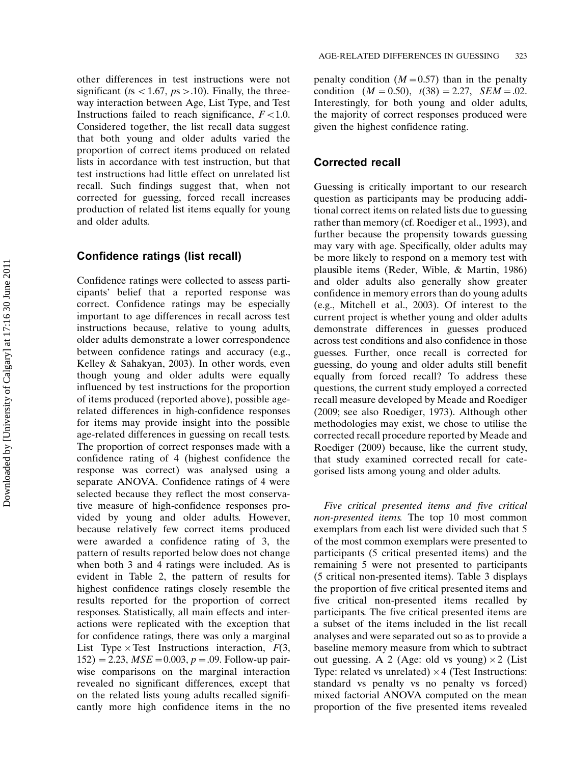other differences in test instructions were not significant ( $ts < 1.67$ ,  $ps > .10$ ). Finally, the threeway interaction between Age, List Type, and Test Instructions failed to reach significance,  $F < 1.0$ . Considered together, the list recall data suggest that both young and older adults varied the proportion of correct items produced on related lists in accordance with test instruction, but that test instructions had little effect on unrelated list recall. Such findings suggest that, when not corrected for guessing, forced recall increases production of related list items equally for young and older adults.

#### Confidence ratings (list recall)

Confidence ratings were collected to assess participants' belief that a reported response was correct. Confidence ratings may be especially important to age differences in recall across test instructions because, relative to young adults, older adults demonstrate a lower correspondence between confidence ratings and accuracy (e.g., Kelley & Sahakyan, 2003). In other words, even though young and older adults were equally influenced by test instructions for the proportion of items produced (reported above), possible agerelated differences in high-confidence responses for items may provide insight into the possible age-related differences in guessing on recall tests. The proportion of correct responses made with a confidence rating of 4 (highest confidence the response was correct) was analysed using a separate ANOVA. Confidence ratings of 4 were selected because they reflect the most conservative measure of high-confidence responses provided by young and older adults. However, because relatively few correct items produced were awarded a confidence rating of 3, the pattern of results reported below does not change when both 3 and 4 ratings were included. As is evident in Table 2, the pattern of results for highest confidence ratings closely resemble the results reported for the proportion of correct responses. Statistically, all main effects and interactions were replicated with the exception that for confidence ratings, there was only a marginal List Type  $\times$  Test Instructions interaction,  $F(3,$  $152) = 2.23, MSE = 0.003, p = .09. Follow-up pair$ wise comparisons on the marginal interaction revealed no significant differences, except that on the related lists young adults recalled significantly more high confidence items in the no penalty condition  $(M=0.57)$  than in the penalty condition  $(M = 0.50)$ ,  $t(38) = 2.27$ ,  $SEM = .02$ . Interestingly, for both young and older adults, the majority of correct responses produced were given the highest confidence rating.

#### Corrected recall

Guessing is critically important to our research question as participants may be producing additional correct items on related lists due to guessing rather than memory (cf. Roediger et al., 1993), and further because the propensity towards guessing may vary with age. Specifically, older adults may be more likely to respond on a memory test with plausible items (Reder, Wible, & Martin, 1986) and older adults also generally show greater confidence in memory errors than do young adults (e.g., Mitchell et al., 2003). Of interest to the current project is whether young and older adults demonstrate differences in guesses produced across test conditions and also confidence in those guesses. Further, once recall is corrected for guessing, do young and older adults still benefit equally from forced recall? To address these questions, the current study employed a corrected recall measure developed by Meade and Roediger (2009; see also Roediger, 1973). Although other methodologies may exist, we chose to utilise the corrected recall procedure reported by Meade and Roediger (2009) because, like the current study, that study examined corrected recall for categorised lists among young and older adults.

Five critical presented items and five critical non-presented items. The top 10 most common exemplars from each list were divided such that 5 of the most common exemplars were presented to participants (5 critical presented items) and the remaining 5 were not presented to participants (5 critical non-presented items). Table 3 displays the proportion of five critical presented items and five critical non-presented items recalled by participants. The five critical presented items are a subset of the items included in the list recall analyses and were separated out so as to provide a baseline memory measure from which to subtract out guessing. A 2 (Age: old vs young)  $\times$  2 (List Type: related vs unrelated)  $\times$  4 (Test Instructions: standard vs penalty vs no penalty vs forced) mixed factorial ANOVA computed on the mean proportion of the five presented items revealed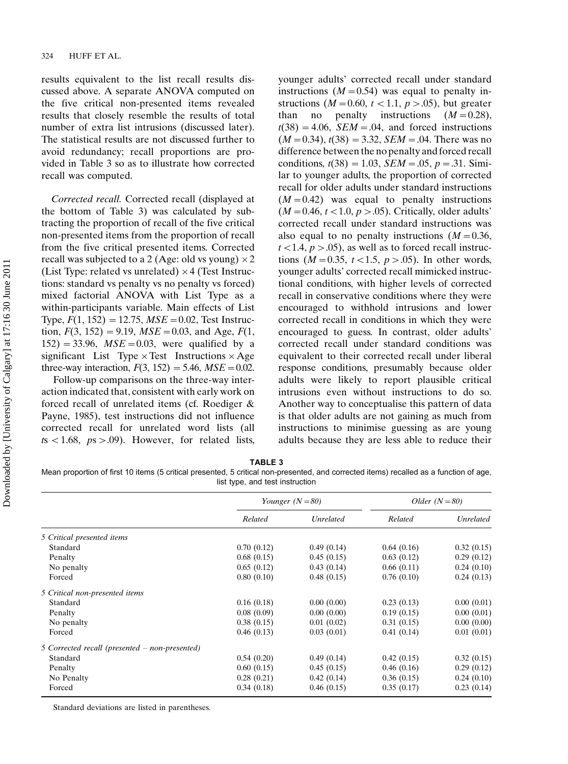results equivalent to the list recall results discussed above. A separate ANOVA computed on the five critical non-presented items revealed results that closely resemble the results of total number of extra list intrusions (discussed later). The statistical results are not discussed further to avoid redundancy; recall proportions are provided in Table 3 so as to illustrate how corrected recall was computed.

Corrected recall. Corrected recall (displayed at the bottom of Table 3) was calculated by subtracting the proportion of recall of the five critical non-presented items from the proportion of recall from the five critical presented items. Corrected recall was subjected to a 2 (Age: old vs young)  $\times 2$ (List Type: related vs unrelated)  $\times$  4 (Test Instructions: standard vs penalty vs no penalty vs forced) mixed factorial ANOVA with List Type as a within-participants variable. Main effects of List Type,  $F(1, 152) = 12.75$ ,  $MSE = 0.02$ , Test Instruction,  $F(3, 152) = 9.19$ ,  $MSE = 0.03$ , and Age,  $F(1,$  $152$ ) = 33.96,  $MSE = 0.03$ , were qualified by a significant List Type  $\times$  Test Instructions  $\times$  Age three-way interaction,  $F(3, 152) = 5.46$ ,  $MSE = 0.02$ .

Follow-up comparisons on the three-way interaction indicated that, consistent with early work on forced recall of unrelated items (cf. Roediger & Payne, 1985), test instructions did not influence corrected recall for unrelated word lists (all  $ts < 1.68$ ,  $ps > .09$ ). However, for related lists,

younger adults' corrected recall under standard instructions ( $M=0.54$ ) was equal to penalty instructions ( $M = 0.60$ ,  $t < 1.1$ ,  $p > .05$ ), but greater than no penalty instructions  $(M=0.28)$ ,  $t(38) = 4.06$ ,  $SEM = .04$ , and forced instructions  $(M=0.34)$ ,  $t(38) = 3.32$ ,  $SEM = .04$ . There was no difference between the no penalty and forced recall conditions,  $t(38) = 1.03$ ,  $SEM = .05$ ,  $p = .31$ . Similar to younger adults, the proportion of corrected recall for older adults under standard instructions  $(M=0.42)$  was equal to penalty instructions  $(M = 0.46, t < 1.0, p > .05)$ . Critically, older adults' corrected recall under standard instructions was also equal to no penalty instructions  $(M=0.36,$  $t < 1.4, p > .05$ ), as well as to forced recall instructions ( $M = 0.35$ ,  $t < 1.5$ ,  $p > .05$ ). In other words, younger adults' corrected recall mimicked instructional conditions, with higher levels of corrected recall in conservative conditions where they were encouraged to withhold intrusions and lower corrected recall in conditions in which they were encouraged to guess. In contrast, older adults' corrected recall under standard conditions was equivalent to their corrected recall under liberal response conditions, presumably because older adults were likely to report plausible critical intrusions even without instructions to do so. Another way to conceptualise this pattern of data is that older adults are not gaining as much from instructions to minimise guessing as are young adults because they are less able to reduce their

| TABLE |  |
|-------|--|
|-------|--|

Mean proportion of first 10 items (5 critical presented, 5 critical non-presented, and corrected items) recalled as a function of age, list type, and test instruction

|                                                | Younger $(N = 80)$ |                  | Older $(N=80)$ |                  |
|------------------------------------------------|--------------------|------------------|----------------|------------------|
|                                                | Related            | <b>Unrelated</b> | Related        | <b>Unrelated</b> |
| 5 Critical presented items                     |                    |                  |                |                  |
| Standard                                       | 0.70(0.12)         | 0.49(0.14)       | 0.64(0.16)     | 0.32(0.15)       |
| Penalty                                        | 0.68(0.15)         | 0.45(0.15)       | 0.63(0.12)     | 0.29(0.12)       |
| No penalty                                     | 0.65(0.12)         | 0.43(0.14)       | 0.66(0.11)     | 0.24(0.10)       |
| Forced                                         | 0.80(0.10)         | 0.48(0.15)       | 0.76(0.10)     | 0.24(0.13)       |
| 5 Critical non-presented items                 |                    |                  |                |                  |
| Standard                                       | 0.16(0.18)         | 0.00(0.00)       | 0.23(0.13)     | 0.00(0.01)       |
| Penalty                                        | 0.08(0.09)         | 0.00(0.00)       | 0.19(0.15)     | 0.00(0.01)       |
| No penalty                                     | 0.38(0.15)         | 0.01(0.02)       | 0.31(0.15)     | 0.00(0.00)       |
| Forced                                         | 0.46(0.13)         | 0.03(0.01)       | 0.41(0.14)     | 0.01(0.01)       |
| 5 Corrected recall (presented – non-presented) |                    |                  |                |                  |
| Standard                                       | 0.54(0.20)         | 0.49(0.14)       | 0.42(0.15)     | 0.32(0.15)       |
| Penalty                                        | 0.60(0.15)         | 0.45(0.15)       | 0.46(0.16)     | 0.29(0.12)       |
| No Penalty                                     | 0.28(0.21)         | 0.42(0.14)       | 0.36(0.15)     | 0.24(0.10)       |
| Forced                                         | 0.34(0.18)         | 0.46(0.15)       | 0.35(0.17)     | 0.23(0.14)       |

Standard deviations are listed in parentheses.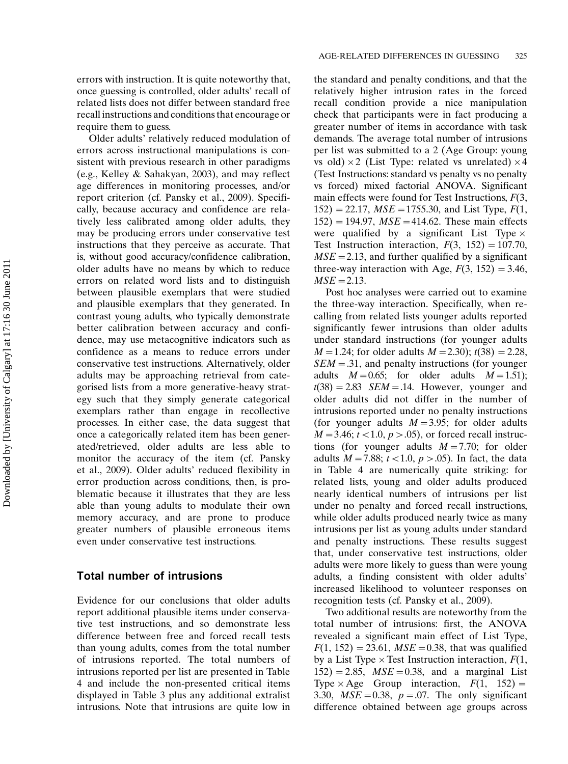errors with instruction. It is quite noteworthy that, once guessing is controlled, older adults' recall of related lists does not differ between standard free recall instructions and conditions that encourage or require them to guess.

Older adults' relatively reduced modulation of errors across instructional manipulations is consistent with previous research in other paradigms (e.g., Kelley & Sahakyan, 2003), and may reflect age differences in monitoring processes, and/or report criterion (cf. Pansky et al., 2009). Specifically, because accuracy and confidence are relatively less calibrated among older adults, they may be producing errors under conservative test instructions that they perceive as accurate. That is, without good accuracy/confidence calibration, older adults have no means by which to reduce errors on related word lists and to distinguish between plausible exemplars that were studied and plausible exemplars that they generated. In contrast young adults, who typically demonstrate better calibration between accuracy and confidence, may use metacognitive indicators such as confidence as a means to reduce errors under conservative test instructions. Alternatively, older adults may be approaching retrieval from categorised lists from a more generative-heavy strategy such that they simply generate categorical exemplars rather than engage in recollective processes. In either case, the data suggest that once a categorically related item has been generated/retrieved, older adults are less able to monitor the accuracy of the item (cf. Pansky et al., 2009). Older adults' reduced flexibility in error production across conditions, then, is problematic because it illustrates that they are less able than young adults to modulate their own memory accuracy, and are prone to produce greater numbers of plausible erroneous items even under conservative test instructions.

## Total number of intrusions

Evidence for our conclusions that older adults report additional plausible items under conservative test instructions, and so demonstrate less difference between free and forced recall tests than young adults, comes from the total number of intrusions reported. The total numbers of intrusions reported per list are presented in Table 4 and include the non-presented critical items displayed in Table 3 plus any additional extralist intrusions. Note that intrusions are quite low in

the standard and penalty conditions, and that the relatively higher intrusion rates in the forced recall condition provide a nice manipulation check that participants were in fact producing a greater number of items in accordance with task demands. The average total number of intrusions per list was submitted to a 2 (Age Group: young vs old)  $\times$  2 (List Type: related vs unrelated)  $\times$  4 (Test Instructions: standard vs penalty vs no penalty vs forced) mixed factorial ANOVA. Significant main effects were found for Test Instructions,  $F(3)$ ,  $152$ ) = 22.17,  $MSE = 1755.30$ , and List Type,  $F(1,$  $152$ ) = 194.97,  $MSE = 414.62$ . These main effects were qualified by a significant List Type  $\times$ Test Instruction interaction,  $F(3, 152) = 107.70$ ,  $MSE = 2.13$ , and further qualified by a significant three-way interaction with Age,  $F(3, 152) = 3.46$ ,  $MSE = 2.13$ .

Post hoc analyses were carried out to examine the three-way interaction. Specifically, when recalling from related lists younger adults reported significantly fewer intrusions than older adults under standard instructions (for younger adults  $M=1.24$ ; for older adults  $M=2.30$ );  $t(38) = 2.28$ ,  $SEM = .31$ , and penalty instructions (for younger adults  $M=0.65$ ; for older adults  $M=1.51$ );  $t(38) = 2.83$  SEM = 1.14. However, younger and older adults did not differ in the number of intrusions reported under no penalty instructions (for younger adults  $M=3.95$ ; for older adults  $M = 3.46$ ;  $t < 1.0$ ,  $p > .05$ ), or forced recall instructions (for younger adults  $M=7.70$ ; for older adults  $M = 7.88$ ;  $t < 1.0$ ,  $p > .05$ ). In fact, the data in Table 4 are numerically quite striking: for related lists, young and older adults produced nearly identical numbers of intrusions per list under no penalty and forced recall instructions, while older adults produced nearly twice as many intrusions per list as young adults under standard and penalty instructions. These results suggest that, under conservative test instructions, older adults were more likely to guess than were young adults, a finding consistent with older adults' increased likelihood to volunteer responses on recognition tests (cf. Pansky et al., 2009).

Two additional results are noteworthy from the total number of intrusions: first, the ANOVA revealed a significant main effect of List Type,  $F(1, 152) = 23.61, MSE = 0.38$ , that was qualified by a List Type  $\times$  Test Instruction interaction,  $F(1,$  $152$ ) = 2.85,  $MSE = 0.38$ , and a marginal List Type  $\times$  Age Group interaction,  $F(1, 152)$  = 3.30,  $MSE = 0.38$ ,  $p = .07$ . The only significant difference obtained between age groups across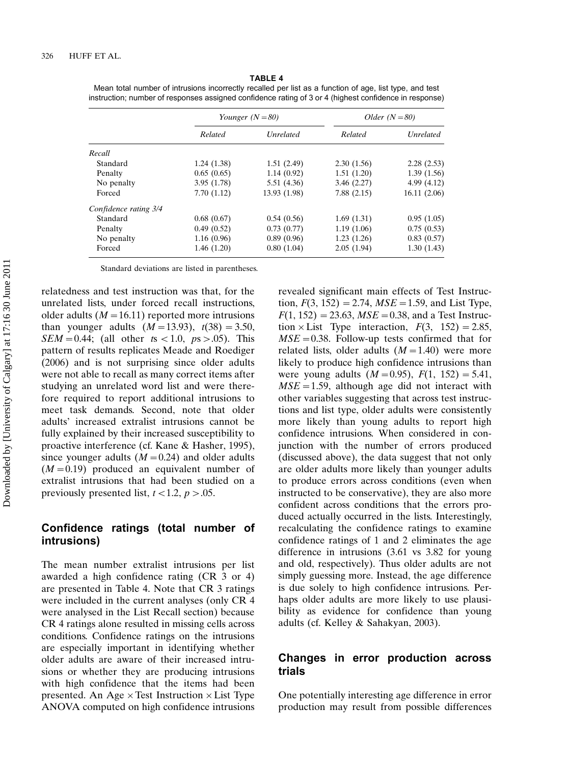|                       |            | Younger $(N=80)$ |            | Older $(N=80)$   |  |  |
|-----------------------|------------|------------------|------------|------------------|--|--|
|                       | Related    | <b>Unrelated</b> | Related    | <b>Unrelated</b> |  |  |
| Recall                |            |                  |            |                  |  |  |
| Standard              | 1.24(1.38) | 1.51(2.49)       | 2.30(1.56) | 2.28(2.53)       |  |  |
| Penalty               | 0.65(0.65) | 1.14(0.92)       | 1.51(1.20) | 1.39(1.56)       |  |  |
| No penalty            | 3.95(1.78) | 5.51(4.36)       | 3.46(2.27) | 4.99(4.12)       |  |  |
| Forced                | 7.70(1.12) | 13.93 (1.98)     | 7.88(2.15) | 16.11(2.06)      |  |  |
| Confidence rating 3/4 |            |                  |            |                  |  |  |
| Standard              | 0.68(0.67) | 0.54(0.56)       | 1.69(1.31) | 0.95(1.05)       |  |  |
| Penalty               | 0.49(0.52) | 0.73(0.77)       | 1.19(1.06) | 0.75(0.53)       |  |  |
| No penalty            | 1.16(0.96) | 0.89(0.96)       | 1.23(1.26) | 0.83(0.57)       |  |  |
| Forced                | 1.46(1.20) | 0.80(1.04)       | 2.05(1.94) | 1.30(1.43)       |  |  |
|                       |            |                  |            |                  |  |  |

TABLE 4

Mean total number of intrusions incorrectly recalled per list as a function of age, list type, and test instruction; number of responses assigned confidence rating of 3 or 4 (highest confidence in response)

Standard deviations are listed in parentheses.

relatedness and test instruction was that, for the unrelated lists, under forced recall instructions, older adults ( $M=16.11$ ) reported more intrusions than younger adults  $(M=13.93)$ ,  $t(38) = 3.50$ ,  $SEM = 0.44$ ; (all other ts < 1.0, ps > 0.05). This pattern of results replicates Meade and Roediger (2006) and is not surprising since older adults were not able to recall as many correct items after studying an unrelated word list and were therefore required to report additional intrusions to meet task demands. Second, note that older adults' increased extralist intrusions cannot be fully explained by their increased susceptibility to proactive interference (cf. Kane & Hasher, 1995), since younger adults  $(M=0.24)$  and older adults  $(M=0.19)$  produced an equivalent number of extralist intrusions that had been studied on a previously presented list,  $t < 1.2$ ,  $p > 0.05$ .

## Confidence ratings (total number of intrusions)

The mean number extralist intrusions per list awarded a high confidence rating (CR 3 or 4) are presented in Table 4. Note that CR 3 ratings were included in the current analyses (only CR 4 were analysed in the List Recall section) because CR 4 ratings alone resulted in missing cells across conditions. Confidence ratings on the intrusions are especially important in identifying whether older adults are aware of their increased intrusions or whether they are producing intrusions with high confidence that the items had been presented. An Age  $\times$  Test Instruction  $\times$  List Type ANOVA computed on high confidence intrusions revealed significant main effects of Test Instruction,  $F(3, 152) = 2.74$ ,  $MSE = 1.59$ , and List Type,  $F(1, 152) = 23.63, MSE = 0.38, and a Test Instruc$ tion  $\times$  List Type interaction,  $F(3, 152) = 2.85$ ,  $MSE = 0.38$ . Follow-up tests confirmed that for related lists, older adults  $(M=1.40)$  were more likely to produce high confidence intrusions than were young adults  $(M=0.95)$ ,  $F(1, 152) = 5.41$ ,  $MSE = 1.59$ , although age did not interact with other variables suggesting that across test instructions and list type, older adults were consistently more likely than young adults to report high confidence intrusions. When considered in conjunction with the number of errors produced (discussed above), the data suggest that not only are older adults more likely than younger adults to produce errors across conditions (even when instructed to be conservative), they are also more confident across conditions that the errors produced actually occurred in the lists. Interestingly, recalculating the confidence ratings to examine confidence ratings of 1 and 2 eliminates the age difference in intrusions (3.61 vs 3.82 for young and old, respectively). Thus older adults are not simply guessing more. Instead, the age difference is due solely to high confidence intrusions. Perhaps older adults are more likely to use plausibility as evidence for confidence than young adults (cf. Kelley & Sahakyan, 2003).

## Changes in error production across trials

One potentially interesting age difference in error production may result from possible differences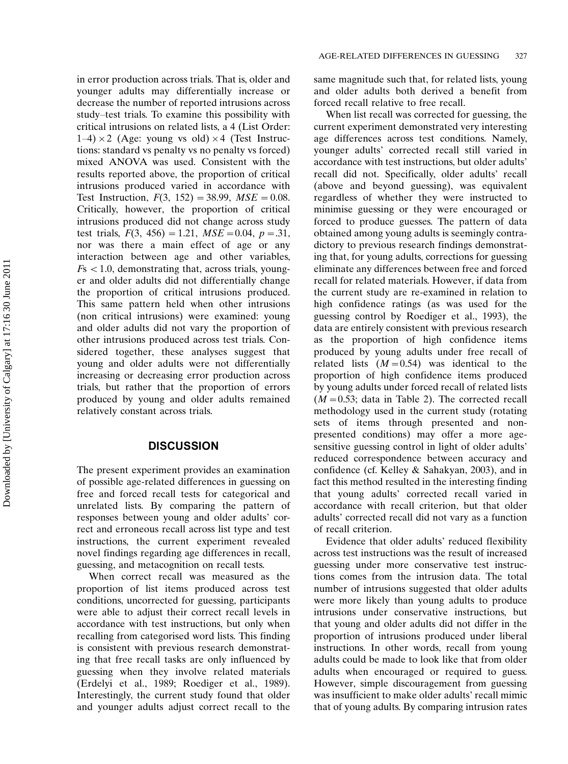in error production across trials. That is, older and younger adults may differentially increase or decrease the number of reported intrusions across study-test trials. To examine this possibility with critical intrusions on related lists, a 4 (List Order: 1–4)  $\times$  2 (Age: young vs old)  $\times$  4 (Test Instructions: standard vs penalty vs no penalty vs forced) mixed ANOVA was used. Consistent with the results reported above, the proportion of critical intrusions produced varied in accordance with Test Instruction,  $F(3, 152) = 38.99$ ,  $MSE = 0.08$ . Critically, however, the proportion of critical intrusions produced did not change across study test trials,  $F(3, 456) = 1.21$ ,  $MSE = 0.04$ ,  $p = 0.31$ , nor was there a main effect of age or any interaction between age and other variables,  $Fs < 1.0$ , demonstrating that, across trials, younger and older adults did not differentially change the proportion of critical intrusions produced. This same pattern held when other intrusions (non critical intrusions) were examined: young and older adults did not vary the proportion of other intrusions produced across test trials. Considered together, these analyses suggest that young and older adults were not differentially increasing or decreasing error production across trials, but rather that the proportion of errors produced by young and older adults remained relatively constant across trials.

#### **DISCUSSION**

The present experiment provides an examination of possible age-related differences in guessing on free and forced recall tests for categorical and unrelated lists. By comparing the pattern of responses between young and older adults' correct and erroneous recall across list type and test instructions, the current experiment revealed novel findings regarding age differences in recall, guessing, and metacognition on recall tests.

When correct recall was measured as the proportion of list items produced across test conditions, uncorrected for guessing, participants were able to adjust their correct recall levels in accordance with test instructions, but only when recalling from categorised word lists. This finding is consistent with previous research demonstrating that free recall tasks are only influenced by guessing when they involve related materials (Erdelyi et al., 1989; Roediger et al., 1989). Interestingly, the current study found that older and younger adults adjust correct recall to the

same magnitude such that, for related lists, young and older adults both derived a benefit from forced recall relative to free recall.

When list recall was corrected for guessing, the current experiment demonstrated very interesting age differences across test conditions. Namely, younger adults' corrected recall still varied in accordance with test instructions, but older adults' recall did not. Specifically, older adults' recall (above and beyond guessing), was equivalent regardless of whether they were instructed to minimise guessing or they were encouraged or forced to produce guesses. The pattern of data obtained among young adults is seemingly contradictory to previous research findings demonstrating that, for young adults, corrections for guessing eliminate any differences between free and forced recall for related materials. However, if data from the current study are re-examined in relation to high confidence ratings (as was used for the guessing control by Roediger et al., 1993), the data are entirely consistent with previous research as the proportion of high confidence items produced by young adults under free recall of related lists  $(M=0.54)$  was identical to the proportion of high confidence items produced by young adults under forced recall of related lists  $(M=0.53;$  data in Table 2). The corrected recall methodology used in the current study (rotating sets of items through presented and nonpresented conditions) may offer a more agesensitive guessing control in light of older adults' reduced correspondence between accuracy and confidence (cf. Kelley & Sahakyan, 2003), and in fact this method resulted in the interesting finding that young adults' corrected recall varied in accordance with recall criterion, but that older adults' corrected recall did not vary as a function of recall criterion.

Evidence that older adults' reduced flexibility across test instructions was the result of increased guessing under more conservative test instructions comes from the intrusion data. The total number of intrusions suggested that older adults were more likely than young adults to produce intrusions under conservative instructions, but that young and older adults did not differ in the proportion of intrusions produced under liberal instructions. In other words, recall from young adults could be made to look like that from older adults when encouraged or required to guess. However, simple discouragement from guessing was insufficient to make older adults' recall mimic that of young adults. By comparing intrusion rates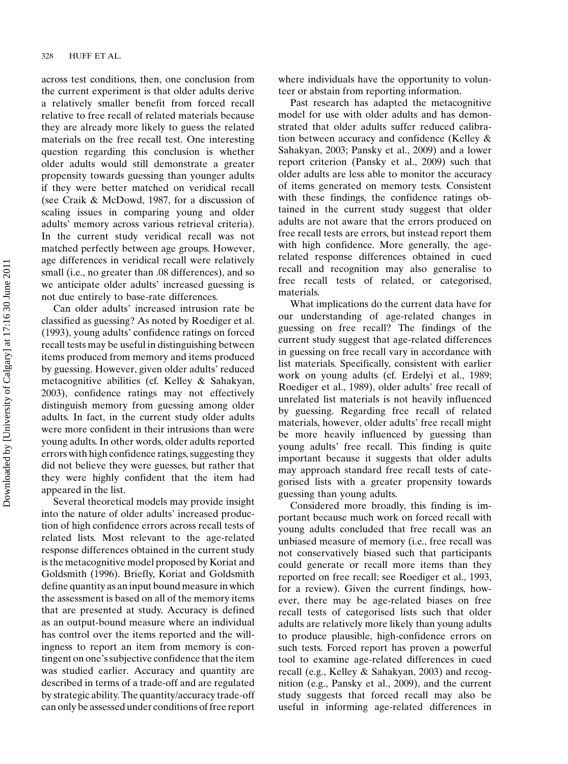across test conditions, then, one conclusion from the current experiment is that older adults derive a relatively smaller benefit from forced recall relative to free recall of related materials because they are already more likely to guess the related materials on the free recall test. One interesting question regarding this conclusion is whether older adults would still demonstrate a greater propensity towards guessing than younger adults if they were better matched on veridical recall (see Craik & McDowd, 1987, for a discussion of scaling issues in comparing young and older adults' memory across various retrieval criteria). In the current study veridical recall was not matched perfectly between age groups. However, age differences in veridical recall were relatively small (i.e., no greater than .08 differences), and so we anticipate older adults' increased guessing is not due entirely to base-rate differences.

Can older adults' increased intrusion rate be classified as guessing? As noted by Roediger et al. (1993), young adults' confidence ratings on forced recall tests may be useful in distinguishing between items produced from memory and items produced by guessing. However, given older adults' reduced metacognitive abilities (cf. Kelley & Sahakyan, 2003), confidence ratings may not effectively distinguish memory from guessing among older adults. In fact, in the current study older adults were more confident in their intrusions than were young adults. In other words, older adults reported errors with high confidence ratings, suggesting they did not believe they were guesses, but rather that they were highly confident that the item had appeared in the list.

Several theoretical models may provide insight into the nature of older adults' increased production of high confidence errors across recall tests of related lists. Most relevant to the age-related response differences obtained in the current study is the metacognitive model proposed by Koriat and Goldsmith (1996). Briefly, Koriat and Goldsmith define quantity as an input bound measure in which the assessment is based on all of the memory items that are presented at study. Accuracy is defined as an output-bound measure where an individual has control over the items reported and the willingness to report an item from memory is contingent on one's subjective confidence that the item was studied earlier. Accuracy and quantity are described in terms of a trade-off and are regulated by strategic ability. The quantity/accuracy trade-off can only be assessed under conditions of free report where individuals have the opportunity to volunteer or abstain from reporting information.

Past research has adapted the metacognitive model for use with older adults and has demonstrated that older adults suffer reduced calibration between accuracy and confidence (Kelley & Sahakyan, 2003; Pansky et al., 2009) and a lower report criterion (Pansky et al., 2009) such that older adults are less able to monitor the accuracy of items generated on memory tests. Consistent with these findings, the confidence ratings obtained in the current study suggest that older adults are not aware that the errors produced on free recall tests are errors, but instead report them with high confidence. More generally, the agerelated response differences obtained in cued recall and recognition may also generalise to free recall tests of related, or categorised, materials.

What implications do the current data have for our understanding of age-related changes in guessing on free recall? The findings of the current study suggest that age-related differences in guessing on free recall vary in accordance with list materials. Specifically, consistent with earlier work on young adults (cf. Erdelyi et al., 1989; Roediger et al., 1989), older adults' free recall of unrelated list materials is not heavily influenced by guessing. Regarding free recall of related materials, however, older adults' free recall might be more heavily influenced by guessing than young adults' free recall. This finding is quite important because it suggests that older adults may approach standard free recall tests of categorised lists with a greater propensity towards guessing than young adults.

Considered more broadly, this finding is important because much work on forced recall with young adults concluded that free recall was an unbiased measure of memory (i.e., free recall was not conservatively biased such that participants could generate or recall more items than they reported on free recall; see Roediger et al., 1993, for a review). Given the current findings, however, there may be age-related biases on free recall tests of categorised lists such that older adults are relatively more likely than young adults to produce plausible, high-confidence errors on such tests. Forced report has proven a powerful tool to examine age-related differences in cued recall (e.g., Kelley & Sahakyan, 2003) and recognition (e.g., Pansky et al., 2009), and the current study suggests that forced recall may also be useful in informing age-related differences in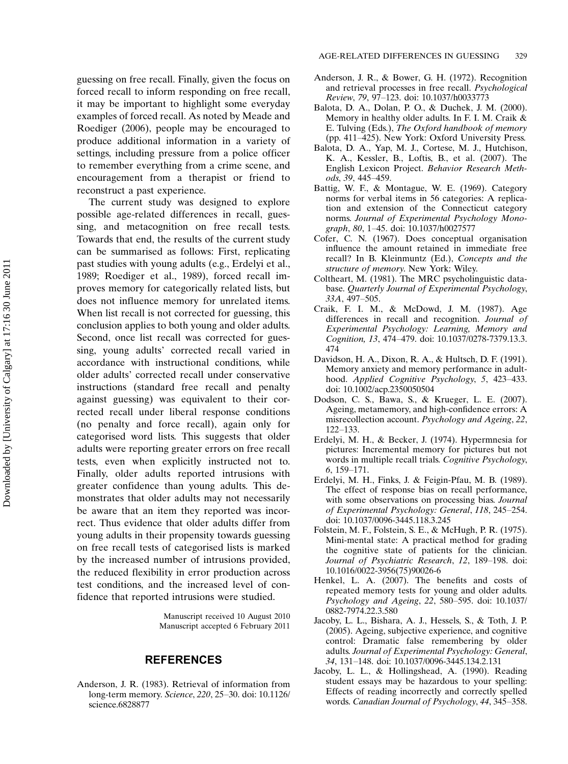guessing on free recall. Finally, given the focus on forced recall to inform responding on free recall, it may be important to highlight some everyday examples of forced recall. As noted by Meade and Roediger (2006), people may be encouraged to produce additional information in a variety of settings, including pressure from a police officer to remember everything from a crime scene, and encouragement from a therapist or friend to reconstruct a past experience.

The current study was designed to explore possible age-related differences in recall, guessing, and metacognition on free recall tests. Towards that end, the results of the current study can be summarised as follows: First, replicating past studies with young adults (e.g., Erdelyi et al., 1989; Roediger et al., 1989), forced recall improves memory for categorically related lists, but does not influence memory for unrelated items. When list recall is not corrected for guessing, this conclusion applies to both young and older adults. Second, once list recall was corrected for guessing, young adults' corrected recall varied in accordance with instructional conditions, while older adults' corrected recall under conservative instructions (standard free recall and penalty against guessing) was equivalent to their corrected recall under liberal response conditions (no penalty and force recall), again only for categorised word lists. This suggests that older adults were reporting greater errors on free recall tests, even when explicitly instructed not to. Finally, older adults reported intrusions with greater confidence than young adults. This demonstrates that older adults may not necessarily be aware that an item they reported was incorrect. Thus evidence that older adults differ from young adults in their propensity towards guessing on free recall tests of categorised lists is marked by the increased number of intrusions provided, the reduced flexibility in error production across test conditions, and the increased level of confidence that reported intrusions were studied.

> Manuscript received 10 August 2010 Manuscript accepted 6 February 2011

### REFERENCES

Anderson, J. R. (1983). Retrieval of information from long-term memory. Science, 220, 25-30. doi: 10.1126/ science.6828877

- Anderson, J. R., & Bower, G. H. (1972). Recognition and retrieval processes in free recall. Psychological Review, 79, 97-123. doi: 10.1037/h0033773
- Balota, D. A., Dolan, P. O., & Duchek, J. M. (2000). Memory in healthy older adults. In F. I. M. Craik & E. Tulving (Eds.), The Oxford handbook of memory (pp. 411-425). New York: Oxford University Press.
- Balota, D. A., Yap, M. J., Cortese, M. J., Hutchison, K. A., Kessler, B., Loftis, B., et al. (2007). The English Lexicon Project. Behavior Research Methods, 39, 445-459.
- Battig, W. F., & Montague, W. E. (1969). Category norms for verbal items in 56 categories: A replication and extension of the Connecticut category norms. Journal of Experimental Psychology Monograph, 80, 1-45. doi: 10.1037/h0027577
- Cofer, C. N. (1967). Does conceptual organisation influence the amount retained in immediate free recall? In B. Kleinmuntz (Ed.), Concepts and the structure of memory. New York: Wiley.
- Coltheart, M. (1981). The MRC psycholinguistic database. Quarterly Journal of Experimental Psychology, 33A, 497-505.
- Craik, F. I. M., & McDowd, J. M. (1987). Age differences in recall and recognition. Journal of Experimental Psychology: Learning, Memory and Cognition, 13, 474-479. doi: 10.1037/0278-7379.13.3. 474
- Davidson, H. A., Dixon, R. A., & Hultsch, D. F. (1991). Memory anxiety and memory performance in adulthood. Applied Cognitive Psychology, 5, 423-433. doi: 10.1002/acp.2350050504
- Dodson, C. S., Bawa, S., & Krueger, L. E. (2007). Ageing, metamemory, and high-confidence errors: A misrecollection account. Psychology and Ageing, 22, 122-133.
- Erdelyi, M. H., & Becker, J. (1974). Hypermnesia for pictures: Incremental memory for pictures but not words in multiple recall trials. Cognitive Psychology,  $6, 159 - 171.$
- Erdelyi, M. H., Finks, J. & Feigin-Pfau, M. B. (1989). The effect of response bias on recall performance, with some observations on processing bias. Journal of Experimental Psychology: General, 118, 245-254. doi: 10.1037/0096-3445.118.3.245
- Folstein, M. F., Folstein, S. E., & McHugh, P. R. (1975). Mini-mental state: A practical method for grading the cognitive state of patients for the clinician. Journal of Psychiatric Research, 12, 189-198. doi: 10.1016/0022-3956(75)90026-6
- Henkel, L. A. (2007). The benefits and costs of repeated memory tests for young and older adults. Psychology and Ageing, 22, 580-595. doi: 10.1037/ 0882-7974.22.3.580
- Jacoby, L. L., Bishara, A. J., Hessels, S., & Toth, J. P. (2005). Ageing, subjective experience, and cognitive control: Dramatic false remembering by older adults. Journal of Experimental Psychology: General, 34, 131-148. doi: 10.1037/0096-3445.134.2.131
- Jacoby, L. L., & Hollingshead, A. (1990). Reading student essays may be hazardous to your spelling: Effects of reading incorrectly and correctly spelled words. Canadian Journal of Psychology, 44, 345-358.